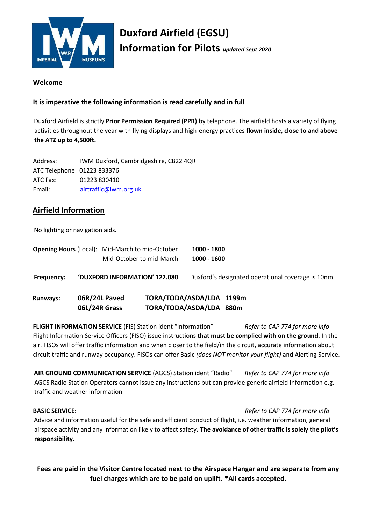

# **Duxford Airfield (EGSU) Information for Pilots** *updated Sept 2020*

#### **Welcome**

### **It is imperative the following information is read carefully and in full**

Duxford Airfield is strictly **Prior Permission Required (PPR)** by telephone. The airfield hosts a variety of flying activities throughout the year with flying displays and high-energy practices **flown inside, close to and above the ATZ up to 4,500ft.** 

Address: IWM Duxford, Cambridgeshire, CB22 4QR ATC Telephone: 01223 833376 ATC Fax: 01223 830410 Email: airtraffic@iwm.org.uk

# **Airfield Information**

No lighting or navigation aids.

| <b>Opening Hours (Local): Mid-March to mid-October</b> |               | Mid-October to mid-March      |                                                     | 1000 - 1800<br>$1000 - 1600$ |                                                   |
|--------------------------------------------------------|---------------|-------------------------------|-----------------------------------------------------|------------------------------|---------------------------------------------------|
| Frequency:                                             |               | 'DUXFORD INFORMATION' 122.080 |                                                     |                              | Duxford's designated operational coverage is 10nm |
| <b>Runways:</b>                                        | 06L/24R Grass | 06R/24L Paved                 | TORA/TODA/ASDA/LDA 1199m<br>TORA/TODA/ASDA/LDA 880m |                              |                                                   |

**FLIGHT INFORMATION SERVICE** (FIS) Station ident "Information" *Refer to CAP 774 for more info* Flight Information Service Officers (FISO) issue instructions **that must be complied with on the ground**. In the air, FISOs will offer traffic information and when closer to the field/in the circuit, accurate information about circuit traffic and runway occupancy. FISOs can offer Basic *(does NOT monitor your flight)* and Alerting Service.

**AIR GROUND COMMUNICATION SERVICE** (AGCS) Station ident "Radio" *Refer to CAP 774 for more info* AGCS Radio Station Operators cannot issue any instructions but can provide generic airfield information e.g. traffic and weather information.

**BASIC SERVICE**: *Refer to CAP 774 for more info* 

Advice and information useful for the safe and efficient conduct of flight, i.e. weather information, general airspace activity and any information likely to affect safety. **The avoidance of other traffic is solely the pilot's responsibility.** 

**Fees are paid in the Visitor Centre located next to the Airspace Hangar and are separate from any fuel charges which are to be paid on uplift. \*All cards accepted.**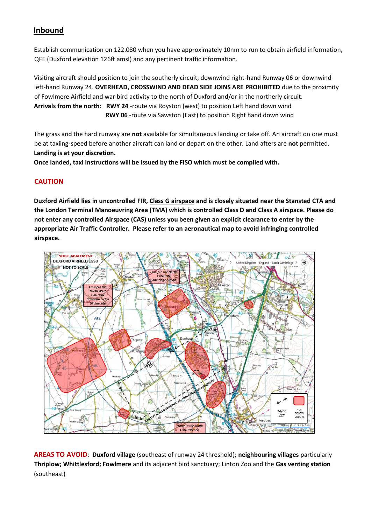# **Inbound**

Establish communication on 122.080 when you have approximately 10nm to run to obtain airfield information, QFE (Duxford elevation 126ft amsl) and any pertinent traffic information.

Visiting aircraft should position to join the southerly circuit, downwind right-hand Runway 06 or downwind left-hand Runway 24. **OVERHEAD, CROSSWIND AND DEAD SIDE JOINS ARE PROHIBITED** due to the proximity of Fowlmere Airfield and war bird activity to the north of Duxford and/or in the northerly circuit. **Arrivals from the north: RWY 24** -route via Royston (west) to position Left hand down wind **RWY 06** -route via Sawston (East) to position Right hand down wind

The grass and the hard runway are **not** available for simultaneous landing or take off. An aircraft on one must be at taxiing-speed before another aircraft can land or depart on the other. Land afters are **not** permitted. **Landing is at your discretion.** 

**Once landed, taxi instructions will be issued by the FISO which must be complied with.** 

## **CAUTION**

**Duxford Airfield lies in uncontrolled FIR, Class G airspace and is closely situated near the Stansted CTA and the London Terminal Manoeuvring Area (TMA) which is controlled Class D and Class A airspace. Please do not enter any controlled Airspace (CAS) unless you been given an explicit clearance to enter by the appropriate Air Traffic Controller. Please refer to an aeronautical map to avoid infringing controlled airspace.**



**AREAS TO AVOID**: **Duxford village** (southeast of runway 24 threshold); **neighbouring villages** particularly **Thriplow; Whittlesford; Fowlmere** and its adjacent bird sanctuary; Linton Zoo and the **Gas venting station** (southeast)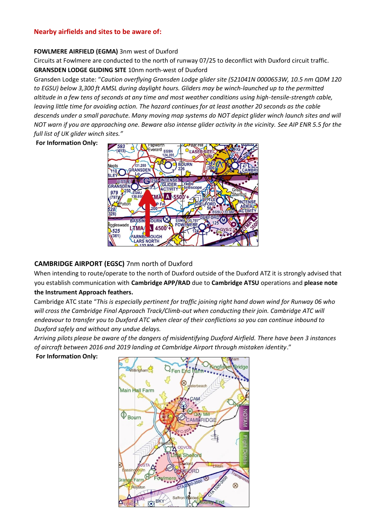#### **Nearby airfields and sites to be aware of:**

#### **FOWLMERE AIRFIELD (EGMA)** 3nm west of Duxford

Circuits at Fowlmere are conducted to the north of runway 07/25 to deconflict with Duxford circuit traffic. **GRANSDEN LODGE GLIDING SITE** 10nm north-west of Duxford

Gransden Lodge state: "*Caution overflying Gransden Lodge glider site (521041N 0000653W, 10.5 nm QDM 120 to EGSU) below 3,300 ft AMSL during daylight hours. Gliders may be winch-launched up to the permitted altitude in a few tens of seconds at any time and most weather conditions using high-tensile-strength cable, leaving little time for avoiding action. The hazard continues for at least another 20 seconds as the cable descends under a small parachute. Many moving map systems do NOT depict glider winch launch sites and will NOT warn if you are approaching one. Beware also intense glider activity in the vicinity. See AIP ENR 5.5 for the full list of UK glider winch sites."* 

**For Information Only:** 



#### **CAMBRIDGE AIRPORT (EGSC)** 7nm north of Duxford

When intending to route/operate to the north of Duxford outside of the Duxford ATZ it is strongly advised that you establish communication with **Cambridge APP/RAD** due to **Cambridge [ATSU](http://www.nats-uk.ead-it.com/public/index.php%3Foption=com_content&task=blogcategory&id=39&Itemid=88.html)** [operat](http://www.nats-uk.ead-it.com/public/index.php%3Foption=com_content&task=blogcategory&id=39&Itemid=88.html)ions and **please note the Instrument Approach feathers.**

Cambridge ATC state "*This is especially pertinent for traffic joining right hand down wind for Runway 06 who will cross the Cambridge Final Approach Track/Climb-out when conducting their join. Cambridge ATC will endeavour to transfer you to Duxford ATC when clear of their conflictions so you can continue inbound to Duxford safely and without any undue delays.* 

*Arriving pilots please be aware of the dangers of misidentifying Duxford Airfield. There have been 3 instances of aircraft between 2016 and 2019 landing at Cambridge Airport through mistaken identity*."

**For Information Only:** 

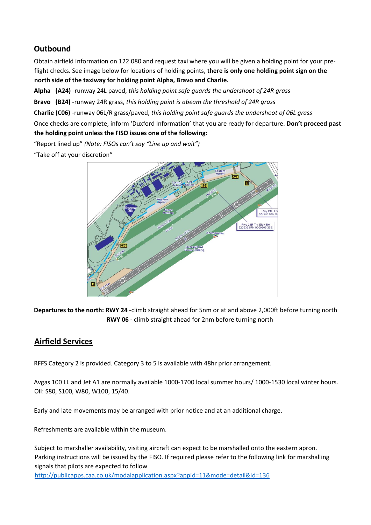# **Outbound**

Obtain airfield information on 122.080 and request taxi where you will be given a holding point for your preflight checks. See image below for locations of holding points, **there is only one holding point sign on the north side of the taxiway for holding point Alpha, Bravo and Charlie.**

**Alpha (A24)** -runway 24L paved, *this holding point safe guards the undershoot of 24R grass* 

**Bravo (B24)** -runway 24R grass, *this holding point is abeam the threshold of 24R grass*

**Charlie (C06)** -runway 06L/R grass/paved, *this holding point safe guards the undershoot of 06L grass*

Once checks are complete, inform 'Duxford Information' that you are ready for departure. **Don't proceed past the holding point unless the FISO issues one of the following:**

"Report lined up" *(Note: FISOs can't say "Line up and wait")*

"Take off at your discretion"



**Departures to the north: RWY 24** -climb straight ahead for 5nm or at and above 2,000ft before turning north **RWY 06** - climb straight ahead for 2nm before turning north

# **Airfield Services**

RFFS Category 2 is provided. Category 3 to 5 is available with 48hr prior arrangement.

Avgas 100 LL and Jet A1 are normally available 1000-1700 local summer hours/ 1000-1530 local winter hours. Oil: S80, S100, W80, W100, 15/40.

Early and late movements may be arranged with prior notice and at an additional charge.

Refreshments are available within the museum.

Subject to marshaller availability, visiting aircraft can expect to be marshalled onto the eastern apron. Parking instructions will be issued by the FISO. If required please refer to the following link for marshalling signals that pilots are expected to follow

<http://publicapps.caa.co.uk/modalapplication.aspx?appid=11&mode=detail&id=136>